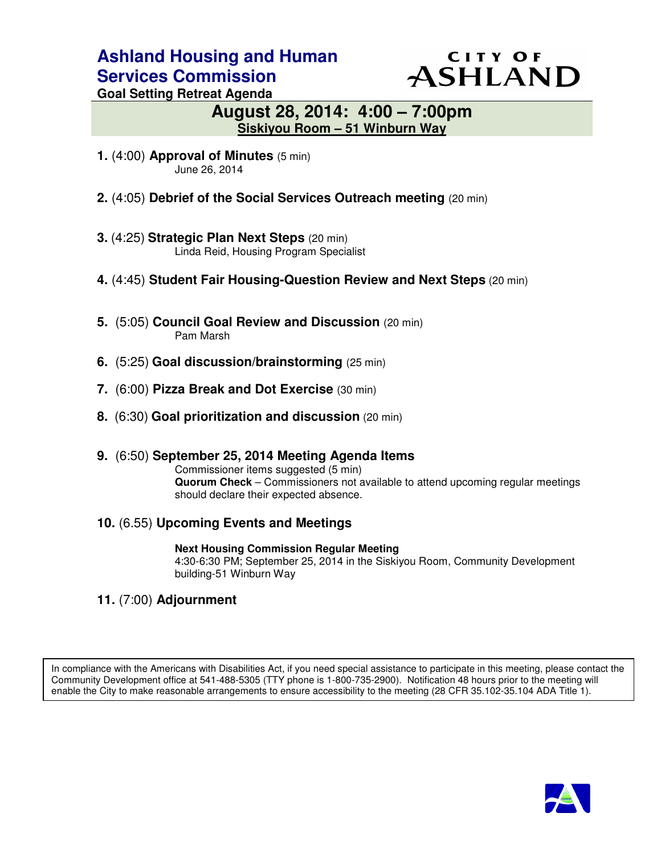# **Ashland Housing and Human Services Commission**

# **CITY OF** ASHLAND

**Goal Setting Retreat Agenda** 

# **August 28, 2014: 4:00 – 7:00pm Siskiyou Room – 51 Winburn Way**

- **1.** (4:00) **Approval of Minutes** (5 min) June 26, 2014
- **2.** (4:05) **Debrief of the Social Services Outreach meeting** (20 min)
- **3.** (4:25) **Strategic Plan Next Steps** (20 min) Linda Reid, Housing Program Specialist
- **4.** (4:45) **Student Fair Housing-Question Review and Next Steps** (20 min)
- **5.** (5:05) **Council Goal Review and Discussion** (20 min) Pam Marsh
- **6.** (5:25) **Goal discussion/brainstorming** (25 min)
- **7.** (6:00) **Pizza Break and Dot Exercise** (30 min)
- **8.** (6:30) **Goal prioritization and discussion** (20 min)
- **9.** (6:50) **September 25, 2014 Meeting Agenda Items** Commissioner items suggested (5 min) **Quorum Check** – Commissioners not available to attend upcoming regular meetings should declare their expected absence.
- **10.** (6.55) **Upcoming Events and Meetings**

 **Next Housing Commission Regular Meeting**  4:30-6:30 PM; September 25, 2014 in the Siskiyou Room, Community Development building-51 Winburn Way

**11.** (7:00) **Adjournment** 

In compliance with the Americans with Disabilities Act, if you need special assistance to participate in this meeting, please contact the Community Development office at 541-488-5305 (TTY phone is 1-800-735-2900). Notification 48 hours prior to the meeting will enable the City to make reasonable arrangements to ensure accessibility to the meeting (28 CFR 35.102-35.104 ADA Title 1).

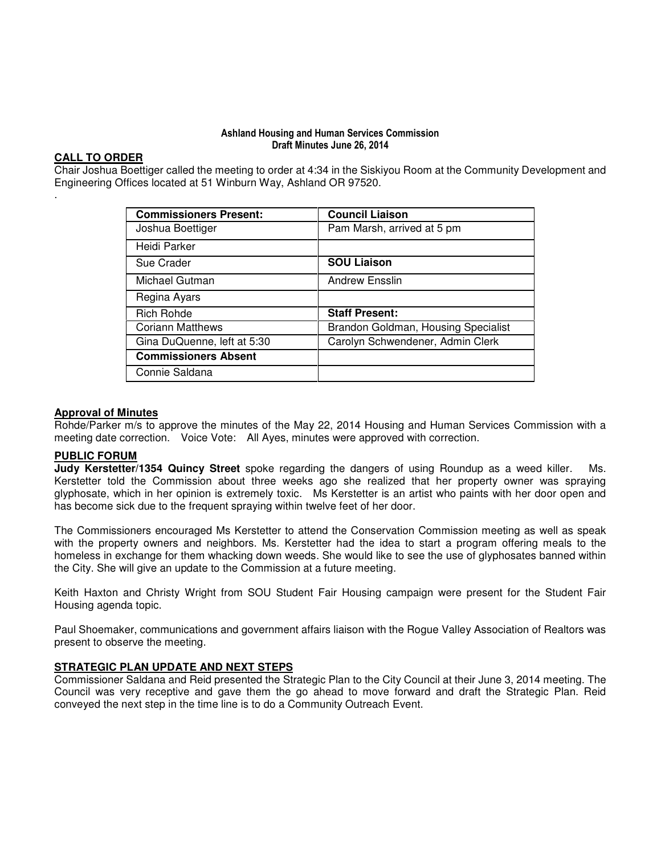#### Ashland Housing and Human Services Commission Draft Minutes June 26, 2014

#### **CALL TO ORDER**

.

Chair Joshua Boettiger called the meeting to order at 4:34 in the Siskiyou Room at the Community Development and Engineering Offices located at 51 Winburn Way, Ashland OR 97520.

| <b>Commissioners Present:</b> | <b>Council Liaison</b>              |
|-------------------------------|-------------------------------------|
| Joshua Boettiger              | Pam Marsh, arrived at 5 pm          |
| Heidi Parker                  |                                     |
| Sue Crader                    | <b>SOU Liaison</b>                  |
| Michael Gutman                | <b>Andrew Ensslin</b>               |
| Regina Ayars                  |                                     |
| <b>Rich Rohde</b>             | <b>Staff Present:</b>               |
| <b>Coriann Matthews</b>       | Brandon Goldman, Housing Specialist |
| Gina DuQuenne, left at 5:30   | Carolyn Schwendener, Admin Clerk    |
| <b>Commissioners Absent</b>   |                                     |
| Connie Saldana                |                                     |

#### **Approval of Minutes**

Rohde/Parker m/s to approve the minutes of the May 22, 2014 Housing and Human Services Commission with a meeting date correction. Voice Vote: All Ayes, minutes were approved with correction.

#### **PUBLIC FORUM**

**Judy Kerstetter/1354 Quincy Street** spoke regarding the dangers of using Roundup as a weed killer. Ms. Kerstetter told the Commission about three weeks ago she realized that her property owner was spraying glyphosate, which in her opinion is extremely toxic. Ms Kerstetter is an artist who paints with her door open and has become sick due to the frequent spraying within twelve feet of her door.

The Commissioners encouraged Ms Kerstetter to attend the Conservation Commission meeting as well as speak with the property owners and neighbors. Ms. Kerstetter had the idea to start a program offering meals to the homeless in exchange for them whacking down weeds. She would like to see the use of glyphosates banned within the City. She will give an update to the Commission at a future meeting.

Keith Haxton and Christy Wright from SOU Student Fair Housing campaign were present for the Student Fair Housing agenda topic.

Paul Shoemaker, communications and government affairs liaison with the Rogue Valley Association of Realtors was present to observe the meeting.

#### **STRATEGIC PLAN UPDATE AND NEXT STEPS**

Commissioner Saldana and Reid presented the Strategic Plan to the City Council at their June 3, 2014 meeting. The Council was very receptive and gave them the go ahead to move forward and draft the Strategic Plan. Reid conveyed the next step in the time line is to do a Community Outreach Event.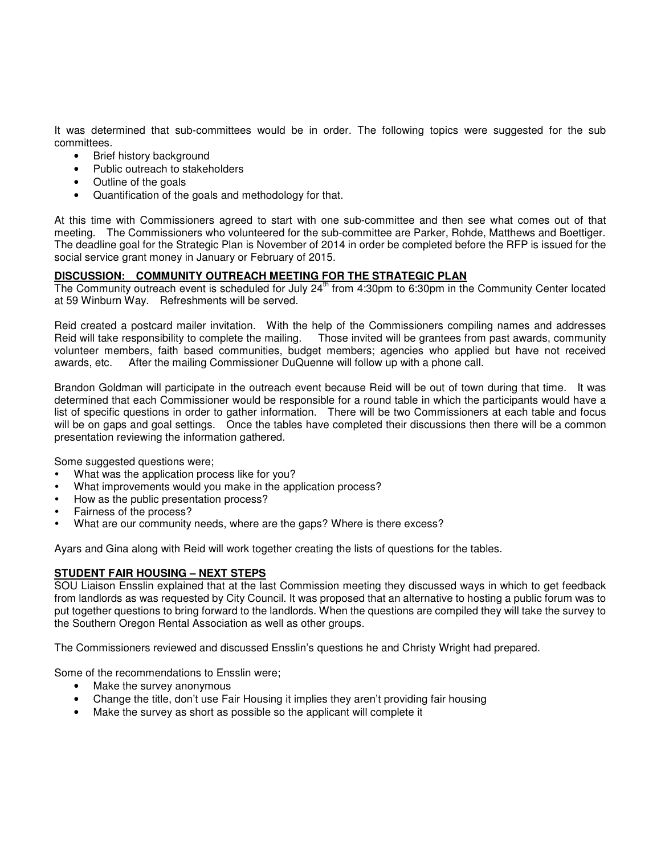It was determined that sub-committees would be in order. The following topics were suggested for the sub committees.

- Brief history background
- Public outreach to stakeholders
- Outline of the goals
- Quantification of the goals and methodology for that.

At this time with Commissioners agreed to start with one sub-committee and then see what comes out of that meeting. The Commissioners who volunteered for the sub-committee are Parker, Rohde, Matthews and Boettiger. The deadline goal for the Strategic Plan is November of 2014 in order be completed before the RFP is issued for the social service grant money in January or February of 2015.

#### **DISCUSSION: COMMUNITY OUTREACH MEETING FOR THE STRATEGIC PLAN**

The Community outreach event is scheduled for July  $24<sup>th</sup>$  from 4:30pm to 6:30pm in the Community Center located at 59 Winburn Way. Refreshments will be served.

Reid created a postcard mailer invitation. With the help of the Commissioners compiling names and addresses Reid will take responsibility to complete the mailing. Those invited will be grantees from past awards, community volunteer members, faith based communities, budget members; agencies who applied but have not received awards, etc. After the mailing Commissioner DuQuenne will follow up with a phone call.

Brandon Goldman will participate in the outreach event because Reid will be out of town during that time. It was determined that each Commissioner would be responsible for a round table in which the participants would have a list of specific questions in order to gather information. There will be two Commissioners at each table and focus will be on gaps and goal settings. Once the tables have completed their discussions then there will be a common presentation reviewing the information gathered.

Some suggested questions were;

- What was the application process like for you?
- What improvements would you make in the application process?
- How as the public presentation process?
- Fairness of the process?
- What are our community needs, where are the gaps? Where is there excess?

Ayars and Gina along with Reid will work together creating the lists of questions for the tables.

#### **STUDENT FAIR HOUSING – NEXT STEPS**

SOU Liaison Ensslin explained that at the last Commission meeting they discussed ways in which to get feedback from landlords as was requested by City Council. It was proposed that an alternative to hosting a public forum was to put together questions to bring forward to the landlords. When the questions are compiled they will take the survey to the Southern Oregon Rental Association as well as other groups.

The Commissioners reviewed and discussed Ensslin's questions he and Christy Wright had prepared.

Some of the recommendations to Ensslin were;

- Make the survey anonymous
- Change the title, don't use Fair Housing it implies they aren't providing fair housing
- Make the survey as short as possible so the applicant will complete it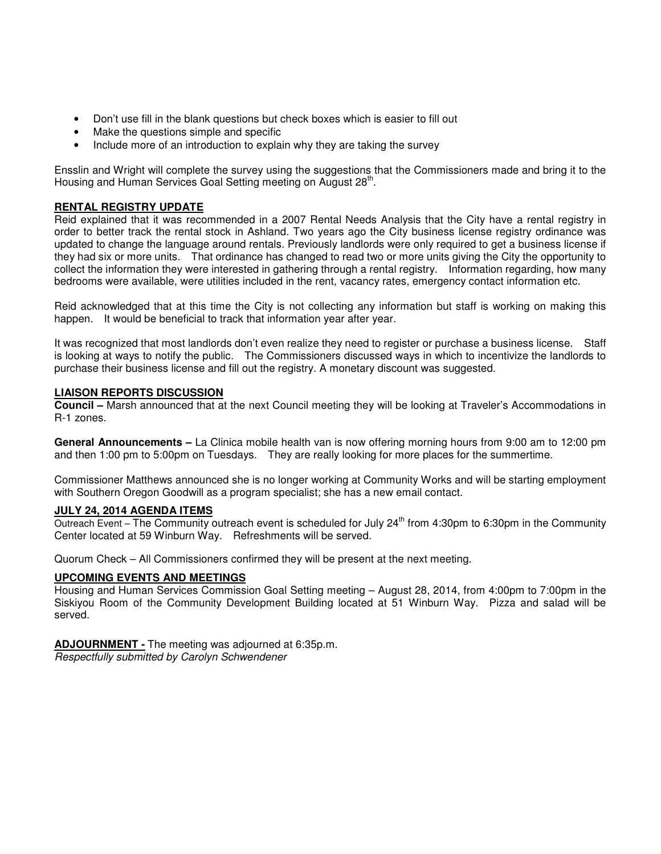- Don't use fill in the blank questions but check boxes which is easier to fill out
- Make the questions simple and specific
- Include more of an introduction to explain why they are taking the survey

Ensslin and Wright will complete the survey using the suggestions that the Commissioners made and bring it to the Housing and Human Services Goal Setting meeting on August 28<sup>th</sup>.

#### **RENTAL REGISTRY UPDATE**

Reid explained that it was recommended in a 2007 Rental Needs Analysis that the City have a rental registry in order to better track the rental stock in Ashland. Two years ago the City business license registry ordinance was updated to change the language around rentals. Previously landlords were only required to get a business license if they had six or more units. That ordinance has changed to read two or more units giving the City the opportunity to collect the information they were interested in gathering through a rental registry. Information regarding, how many bedrooms were available, were utilities included in the rent, vacancy rates, emergency contact information etc.

Reid acknowledged that at this time the City is not collecting any information but staff is working on making this happen. It would be beneficial to track that information year after year.

It was recognized that most landlords don't even realize they need to register or purchase a business license. Staff is looking at ways to notify the public. The Commissioners discussed ways in which to incentivize the landlords to purchase their business license and fill out the registry. A monetary discount was suggested.

#### **LIAISON REPORTS DISCUSSION**

**Council –** Marsh announced that at the next Council meeting they will be looking at Traveler's Accommodations in R-1 zones.

**General Announcements –** La Clinica mobile health van is now offering morning hours from 9:00 am to 12:00 pm and then 1:00 pm to 5:00pm on Tuesdays. They are really looking for more places for the summertime.

Commissioner Matthews announced she is no longer working at Community Works and will be starting employment with Southern Oregon Goodwill as a program specialist; she has a new email contact.

#### **JULY 24, 2014 AGENDA ITEMS**

Outreach Event – The Community outreach event is scheduled for July  $24^{th}$  from 4:30pm to 6:30pm in the Community Center located at 59 Winburn Way. Refreshments will be served.

Quorum Check – All Commissioners confirmed they will be present at the next meeting.

#### **UPCOMING EVENTS AND MEETINGS**

Housing and Human Services Commission Goal Setting meeting – August 28, 2014, from 4:00pm to 7:00pm in the Siskiyou Room of the Community Development Building located at 51 Winburn Way. Pizza and salad will be served.

**ADJOURNMENT -** The meeting was adjourned at 6:35p.m. Respectfully submitted by Carolyn Schwendener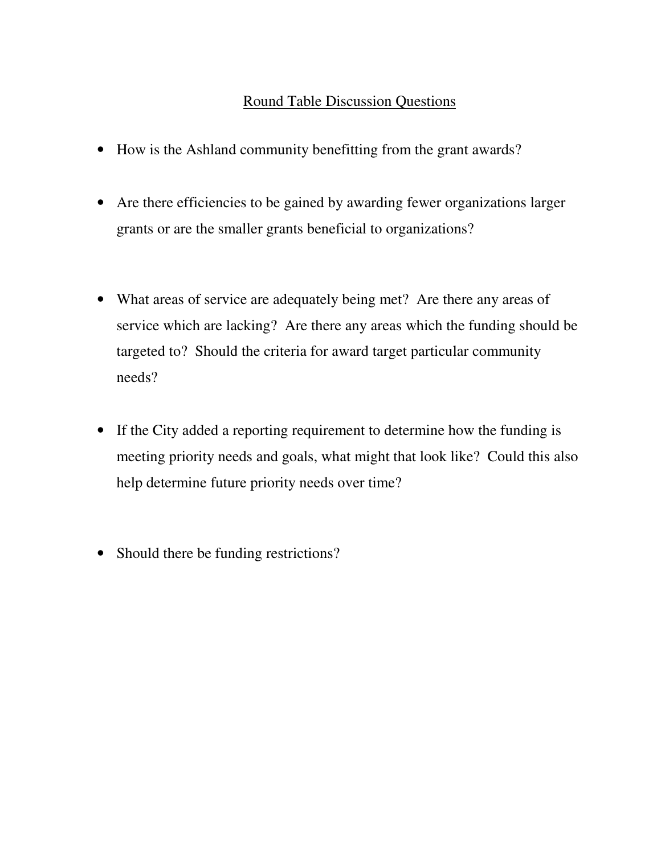# Round Table Discussion Questions

- How is the Ashland community benefitting from the grant awards?
- Are there efficiencies to be gained by awarding fewer organizations larger grants or are the smaller grants beneficial to organizations?
- What areas of service are adequately being met? Are there any areas of service which are lacking? Are there any areas which the funding should be targeted to? Should the criteria for award target particular community needs?
- If the City added a reporting requirement to determine how the funding is meeting priority needs and goals, what might that look like? Could this also help determine future priority needs over time?
- Should there be funding restrictions?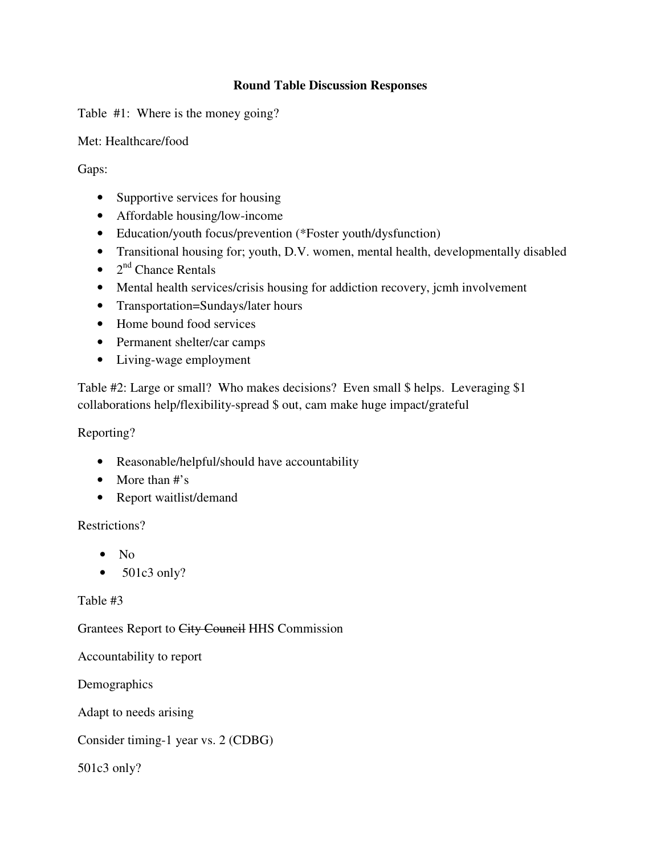### **Round Table Discussion Responses**

Table #1: Where is the money going?

Met: Healthcare/food

Gaps:

- Supportive services for housing
- Affordable housing/low-income
- Education/youth focus/prevention (\*Foster youth/dysfunction)
- Transitional housing for; youth, D.V. women, mental health, developmentally disabled
- $2<sup>nd</sup>$  Chance Rentals
- Mental health services/crisis housing for addiction recovery, jcmh involvement
- Transportation=Sundays/later hours
- Home bound food services
- Permanent shelter/car camps
- Living-wage employment

Table #2: Large or small? Who makes decisions? Even small \$ helps. Leveraging \$1 collaborations help/flexibility-spread \$ out, cam make huge impact/grateful

Reporting?

- Reasonable/helpful/should have accountability
- More than #'s
- Report waitlist/demand

### Restrictions?

- $\bullet$  No
- $\bullet$  501c3 only?

### Table #3

Grantees Report to City Council HHS Commission

Accountability to report

Demographics

Adapt to needs arising

Consider timing-1 year vs. 2 (CDBG)

501c3 only?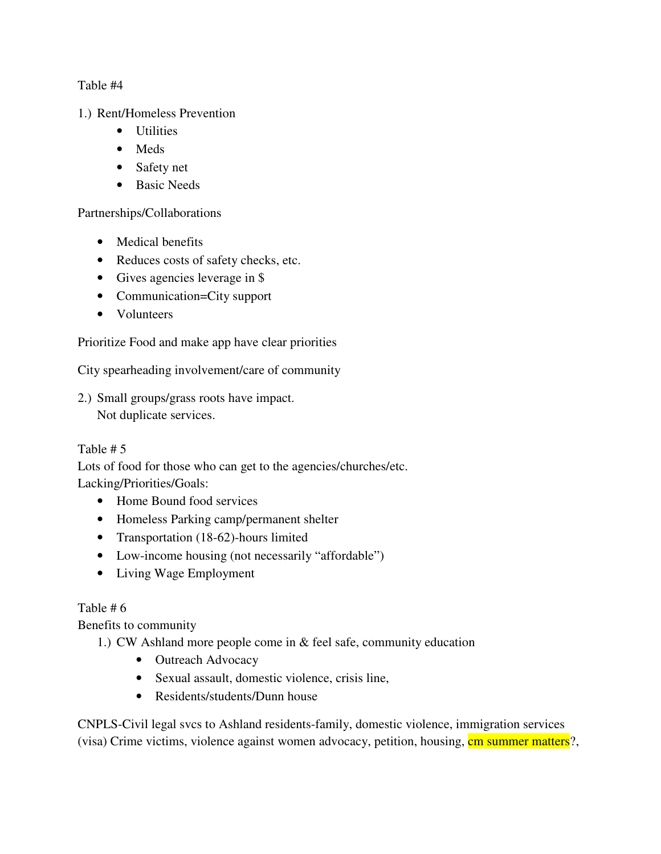Table #4

1.) Rent/Homeless Prevention

- Utilities
- Meds
- Safety net
- Basic Needs

Partnerships/Collaborations

- Medical benefits
- Reduces costs of safety checks, etc.
- Gives agencies leverage in \$
- Communication=City support
- Volunteers

Prioritize Food and make app have clear priorities

City spearheading involvement/care of community

2.) Small groups/grass roots have impact. Not duplicate services.

### Table # 5

Lots of food for those who can get to the agencies/churches/etc. Lacking/Priorities/Goals:

- Home Bound food services
- Homeless Parking camp/permanent shelter
- Transportation (18-62)-hours limited
- Low-income housing (not necessarily "affordable")
- Living Wage Employment

### Table # 6

Benefits to community

1.) CW Ashland more people come in & feel safe, community education

- Outreach Advocacy
- Sexual assault, domestic violence, crisis line,
- Residents/students/Dunn house

CNPLS-Civil legal svcs to Ashland residents-family, domestic violence, immigration services (visa) Crime victims, violence against women advocacy, petition, housing, cm summer matters?,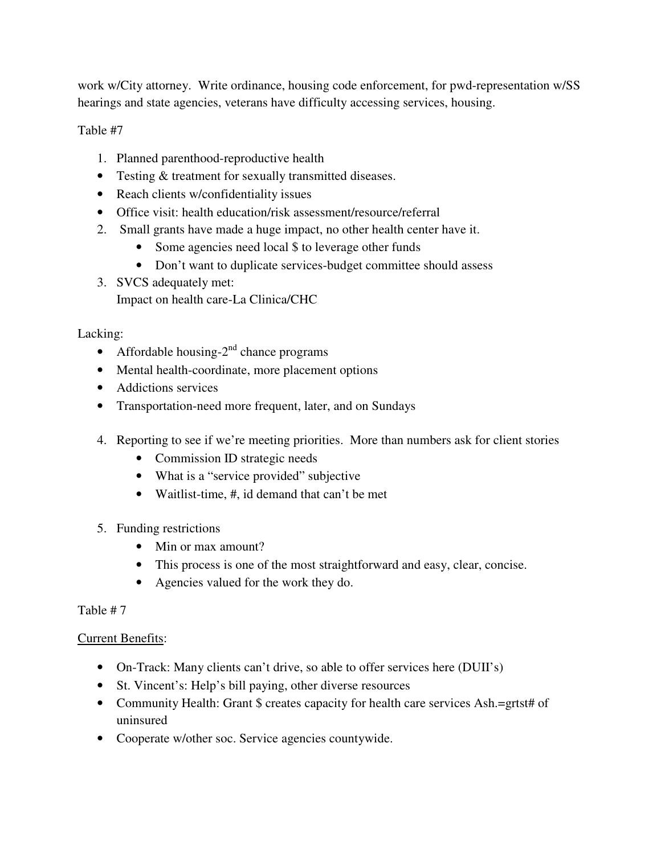work w/City attorney. Write ordinance, housing code enforcement, for pwd-representation w/SS hearings and state agencies, veterans have difficulty accessing services, housing.

Table #7

- 1. Planned parenthood-reproductive health
- Testing & treatment for sexually transmitted diseases.
- Reach clients w/confidentiality issues
- Office visit: health education/risk assessment/resource/referral
- 2. Small grants have made a huge impact, no other health center have it.
	- Some agencies need local \$ to leverage other funds
	- Don't want to duplicate services-budget committee should assess
- 3. SVCS adequately met: Impact on health care-La Clinica/CHC

### Lacking:

- Affordable housing- $2<sup>nd</sup>$  chance programs
- Mental health-coordinate, more placement options
- Addictions services
- Transportation-need more frequent, later, and on Sundays
- 4. Reporting to see if we're meeting priorities. More than numbers ask for client stories
	- Commission ID strategic needs
	- What is a "service provided" subjective
	- Waitlist-time, #, id demand that can't be met
- 5. Funding restrictions
	- Min or max amount?
	- This process is one of the most straightforward and easy, clear, concise.
	- Agencies valued for the work they do.

### Table # 7

### Current Benefits:

- On-Track: Many clients can't drive, so able to offer services here (DUII's)
- St. Vincent's: Help's bill paying, other diverse resources
- Community Health: Grant \$ creates capacity for health care services Ash.=grtst# of uninsured
- Cooperate w/other soc. Service agencies countywide.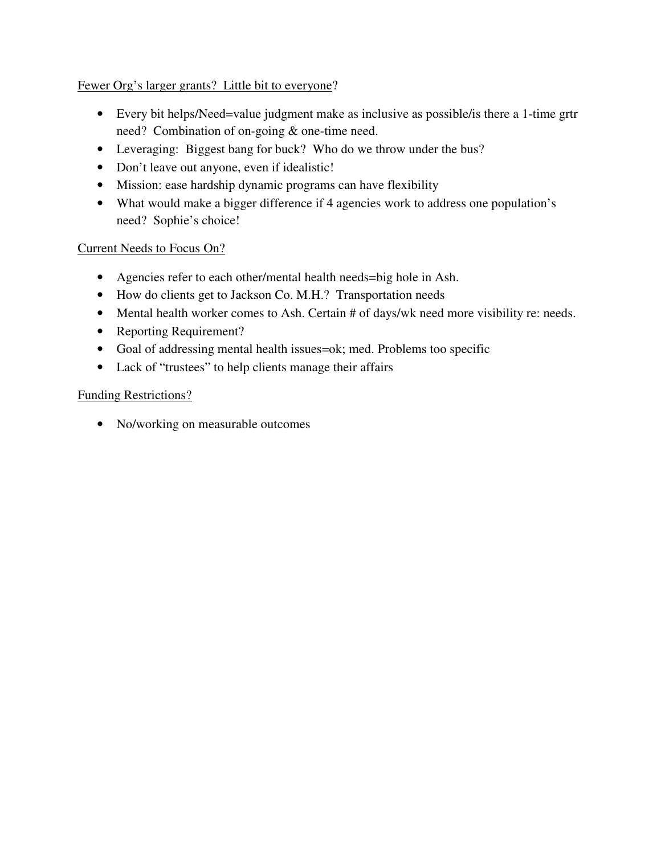Fewer Org's larger grants? Little bit to everyone?

- Every bit helps/Need=value judgment make as inclusive as possible/is there a 1-time grtr need? Combination of on-going & one-time need.
- Leveraging: Biggest bang for buck? Who do we throw under the bus?
- Don't leave out anyone, even if idealistic!
- Mission: ease hardship dynamic programs can have flexibility
- What would make a bigger difference if 4 agencies work to address one population's need? Sophie's choice!

### Current Needs to Focus On?

- Agencies refer to each other/mental health needs=big hole in Ash.
- How do clients get to Jackson Co. M.H.? Transportation needs
- Mental health worker comes to Ash. Certain # of days/wk need more visibility re: needs.
- Reporting Requirement?
- Goal of addressing mental health issues=ok; med. Problems too specific
- Lack of "trustees" to help clients manage their affairs

### Funding Restrictions?

• No/working on measurable outcomes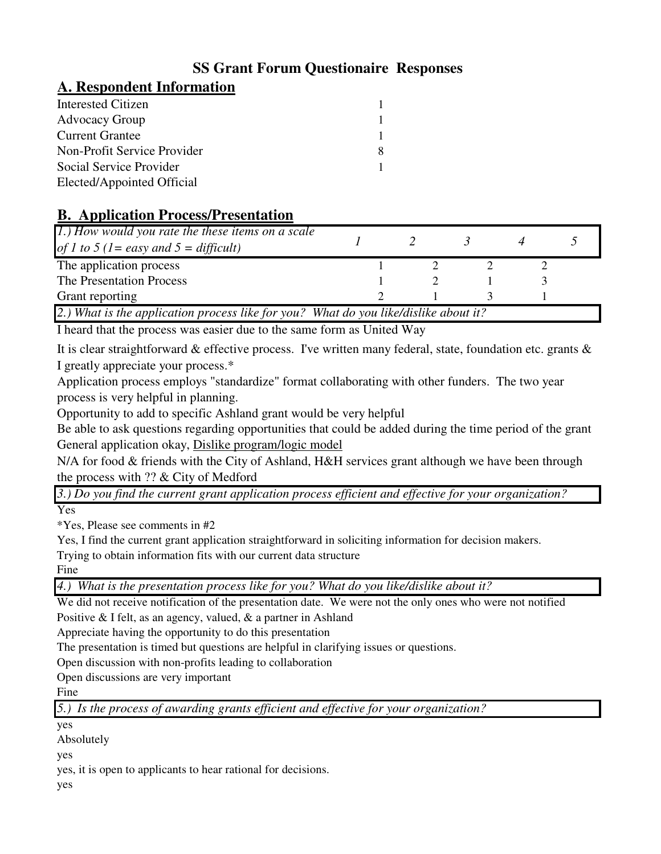# **SS Grant Forum Questionaire Responses**

## **A. Respondent Information**

| Interested Citizen          |   |
|-----------------------------|---|
| <b>Advocacy Group</b>       |   |
| <b>Current Grantee</b>      |   |
| Non-Profit Service Provider | 8 |
| Social Service Provider     |   |
| Elected/Appointed Official  |   |

# **B. Application Process/Presentation**

| 1.) How would you rate the these items on a scale<br>of 1 to 5 (1 = easy and 5 = difficult) |  |  |  |  |  |  |
|---------------------------------------------------------------------------------------------|--|--|--|--|--|--|
| The application process                                                                     |  |  |  |  |  |  |
| The Presentation Process                                                                    |  |  |  |  |  |  |
| Grant reporting                                                                             |  |  |  |  |  |  |
| 2.) What is the application process like for you? What do you like/dislike about it?        |  |  |  |  |  |  |

I heard that the process was easier due to the same form as United Way

It is clear straightforward & effective process. I've written many federal, state, foundation etc. grants & I greatly appreciate your process.\*

Application process employs "standardize" format collaborating with other funders. The two year process is very helpful in planning.

Opportunity to add to specific Ashland grant would be very helpful

Be able to ask questions regarding opportunities that could be added during the time period of the grant General application okay, Dislike program/logic model

N/A for food & friends with the City of Ashland, H&H services grant although we have been through the process with ?? & City of Medford

*3.) Do you find the current grant application process efficient and effective for your organization?*

Yes

\*Yes, Please see comments in #2

Yes, I find the current grant application straightforward in soliciting information for decision makers.

Trying to obtain information fits with our current data structure

Fine

*4.) What is the presentation process like for you? What do you like/dislike about it?*

We did not receive notification of the presentation date. We were not the only ones who were not notified Positive & I felt, as an agency, valued, & a partner in Ashland

Appreciate having the opportunity to do this presentation

The presentation is timed but questions are helpful in clarifying issues or questions.

Open discussion with non-profits leading to collaboration

Open discussions are very important

Fine

*5.) Is the process of awarding grants efficient and effective for your organization?*

yes

Absolutely

yes

yes, it is open to applicants to hear rational for decisions.

yes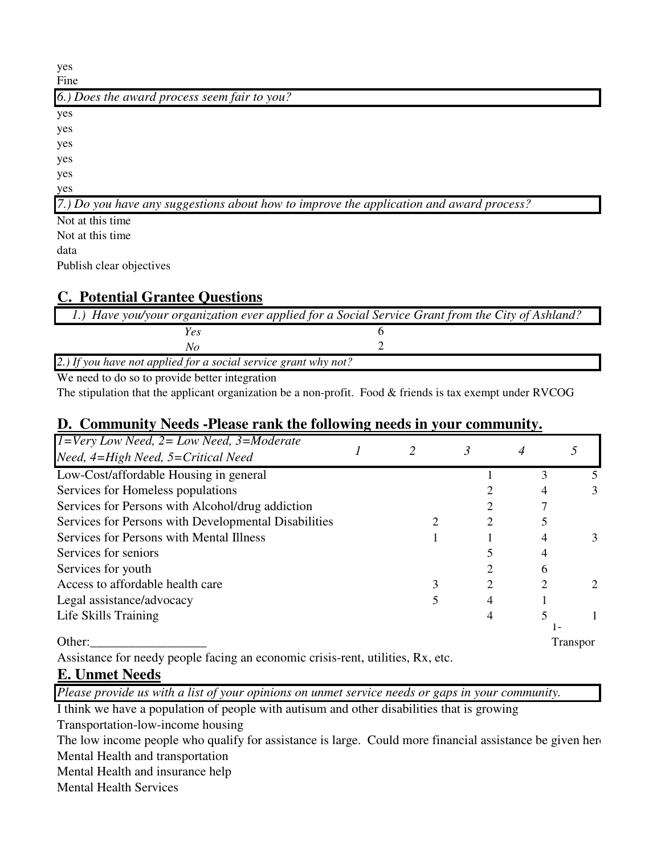| yes                                                                                      |
|------------------------------------------------------------------------------------------|
| Fine                                                                                     |
| 6.) Does the award process seem fair to you?                                             |
| yes                                                                                      |
| yes                                                                                      |
| yes                                                                                      |
| yes                                                                                      |
| yes                                                                                      |
| yes                                                                                      |
| [7.] Do you have any suggestions about how to improve the application and award process? |
| Not at this time                                                                         |
| Not at this time.                                                                        |

data

Publish clear objectives

# **C. Potential Grantee Questions**

| 1.) Have you/your organization ever applied for a Social Service Grant from the City of Ashland? |  |
|--------------------------------------------------------------------------------------------------|--|
| Yes                                                                                              |  |
| No                                                                                               |  |
| 2.) If you have not applied for a social service grant why not?                                  |  |

We need to do so to provide better integration

The stipulation that the applicant organization be a non-profit. Food & friends is tax exempt under RVCOG

### **D. Community Needs -Please rank the following needs in your community.**

| $I = Very$ Low Need, $2 = Low$ Need, $3 = Model$     |  |   |   |                             |
|------------------------------------------------------|--|---|---|-----------------------------|
| Need, 4=High Need, 5=Critical Need                   |  |   |   |                             |
| Low-Cost/affordable Housing in general               |  |   |   |                             |
| Services for Homeless populations                    |  |   |   | 3                           |
| Services for Persons with Alcohol/drug addiction     |  |   |   |                             |
| Services for Persons with Developmental Disabilities |  | 2 |   |                             |
| Services for Persons with Mental Illness             |  |   |   | 3                           |
| Services for seniors                                 |  |   |   |                             |
| Services for youth                                   |  |   | 6 |                             |
| Access to affordable health care                     |  | 2 |   | $\mathcal{D}_{\mathcal{L}}$ |
| Legal assistance/advocacy                            |  | 4 |   |                             |
| Life Skills Training                                 |  |   |   |                             |
|                                                      |  |   |   |                             |
| Other:                                               |  |   |   | <b>Transpor</b>             |

Assistance for needy people facing an economic crisis-rent, utilities, Rx, etc.

# **E. Unmet Needs**

*Please provide us with a list of your opinions on unmet service needs or gaps in your community.*

I think we have a population of people with autisum and other disabilities that is growing

Transportation-low-income housing

The low income people who qualify for assistance is large. Could more financial assistance be given here Mental Health and transportation

Mental Health and insurance help

Mental Health Services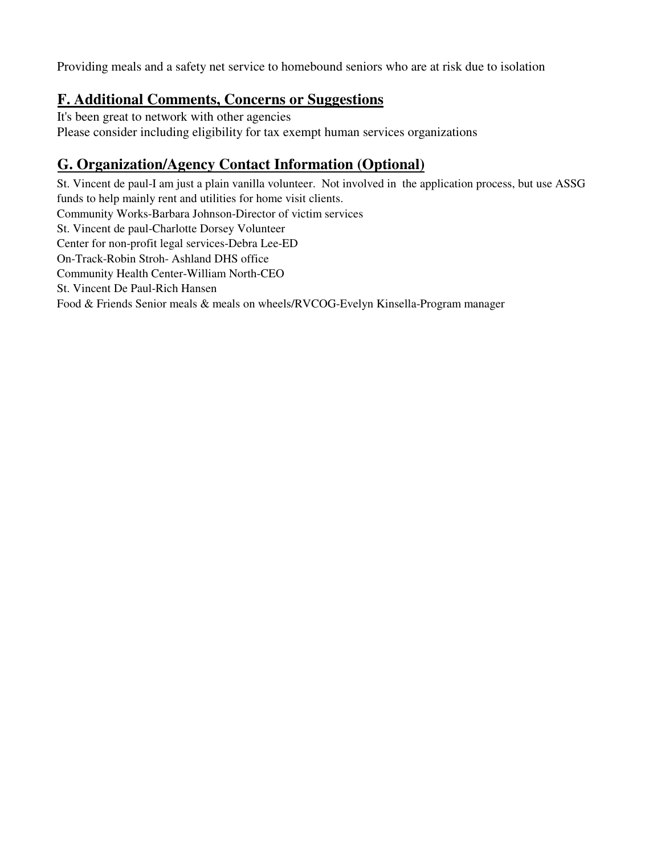Providing meals and a safety net service to homebound seniors who are at risk due to isolation

# **F. Additional Comments, Concerns or Suggestions**

It's been great to network with other agencies Please consider including eligibility for tax exempt human services organizations

# **G. Organization/Agency Contact Information (Optional)**

Community Works-Barbara Johnson-Director of victim services St. Vincent de paul-Charlotte Dorsey Volunteer Center for non-profit legal services-Debra Lee-ED On-Track-Robin Stroh- Ashland DHS office Community Health Center-William North-CEO St. Vincent De Paul-Rich Hansen Food & Friends Senior meals & meals on wheels/RVCOG-Evelyn Kinsella-Program manager St. Vincent de paul-I am just a plain vanilla volunteer. Not involved in the application process, but use ASSG funds to help mainly rent and utilities for home visit clients.